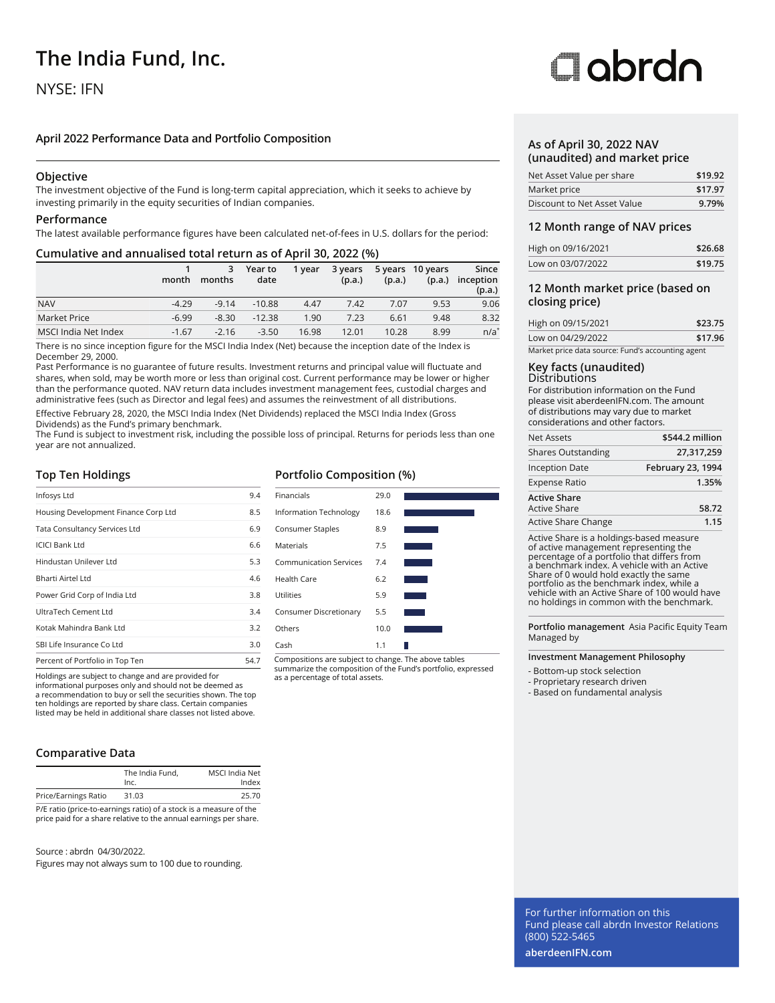# **The India Fund, Inc.**

# NYSE: IFN

# **April 2022 Performance Data and Portfolio Composition**

### **Objective**

The investment objective of the Fund is long-term capital appreciation, which it seeks to achieve by investing primarily in the equity securities of Indian companies.

### **Performance**

The latest available performance figures have been calculated net-of-fees in U.S. dollars for the period:

### **Cumulative and annualised total return as of April 30, 2022 (%)**

|                      | month   | 3<br>months | Year to<br>date | 1 vear | 3 years<br>(p.a.) | (p.a.) | 5 years 10 years<br>(p.a.) | Since<br>inception<br>(p.a.) |
|----------------------|---------|-------------|-----------------|--------|-------------------|--------|----------------------------|------------------------------|
| <b>NAV</b>           | $-4.29$ | $-9.14$     | $-10.88$        | 4.47   | 7.42              | 7.07   | 9.53                       | 9.06                         |
| Market Price         | $-6.99$ | $-8.30$     | $-12.38$        | 1.90   | 7.23              | 6.61   | 9.48                       | 8.32                         |
| MSCI India Net Index | $-1.67$ | $-2.16$     | $-3.50$         | 16.98  | 12.01             | 10.28  | 8.99                       | $n/a^*$                      |

There is no since inception figure for the MSCI India Index (Net) because the inception date of the Index is December 29, 2000.

Past Performance is no guarantee of future results. Investment returns and principal value will fluctuate and shares, when sold, may be worth more or less than original cost. Current performance may be lower or higher than the performance quoted. NAV return data includes investment management fees, custodial charges and administrative fees (such as Director and legal fees) and assumes the reinvestment of all distributions.

Effective February 28, 2020, the MSCI India Index (Net Dividends) replaced the MSCI India Index (Gross Dividends) as the Fund's primary benchmark.

The Fund is subject to investment risk, including the possible loss of principal. Returns for periods less than one year are not annualized.

### **Top Ten Holdings**

| Infosys Ltd                          | 9.4  |
|--------------------------------------|------|
| Housing Development Finance Corp Ltd | 8.5  |
| Tata Consultancy Services Ltd        | 6.9  |
| <b>ICICI Bank Ltd</b>                | 6.6  |
| Hindustan Unilever Ltd               | 5.3  |
| Bharti Airtel Ltd                    | 4.6  |
| Power Grid Corp of India Ltd         | 3.8  |
| UltraTech Cement Ltd                 | 3.4  |
| Kotak Mahindra Bank Ltd              | 3.2  |
| SBI Life Insurance Co Ltd            | 3.0  |
| Percent of Portfolio in Top Ten      | 54.7 |

Holdings are subject to change and are provided for as a percentage of total assets. informational purposes only and should not be deemed as a recommendation to buy or sell the securities shown. The top ten holdings are reported by share class. Certain companies listed may be held in additional share classes not listed above.

## **Comparative Data**

|                                                                    | The India Fund.<br>Inc. | MSCI India Net<br>Index |
|--------------------------------------------------------------------|-------------------------|-------------------------|
| Price/Earnings Ratio                                               | 31.03                   | 25.70                   |
| P/E ratio (price-to-earnings ratio) of a stock is a measure of the |                         |                         |

P/E ratio (price-to-earnings ratio) of a stock is a measure of the price paid for a share relative to the annual earnings per share.

Source : abrdn 04/30/2022.

Figures may not always sum to 100 due to rounding.

# **Portfolio Composition (%)**



summarize the composition of the Fund's portfolio, expressed

# Oobrdo

### **As of April 30, 2022 NAV (unaudited) and market price**

| Net Asset Value per share   | \$19.92 |
|-----------------------------|---------|
| Market price                | \$17.97 |
| Discount to Net Asset Value | 9.79%   |

### **12 Month range of NAV prices**

| High on 09/16/2021 | \$26.68 |
|--------------------|---------|
| Low on 03/07/2022  | \$19.75 |

### **12 Month market price (based on closing price)**

| High on 09/15/2021                                | \$23.75 |
|---------------------------------------------------|---------|
| Low on 04/29/2022                                 | \$17.96 |
| Market price data source: Fund's accounting agent |         |

### **Key facts (unaudited) Distributions**

For distribution information on the Fund please visit aberdeenIFN.com. The amount of distributions may vary due to market considerations and other factors.

| Net Assets                                 | \$544.2 million   |
|--------------------------------------------|-------------------|
| <b>Shares Outstanding</b>                  | 27,317,259        |
| <b>Inception Date</b>                      | February 23, 1994 |
| <b>Expense Ratio</b>                       | 1.35%             |
| <b>Active Share</b><br><b>Active Share</b> | 58.72             |
| Active Share Change                        | 1.15              |

Active Share is a holdings-based measure of active management representing the percentage of a portfolio that differs from a benchmark index. A vehicle with an Active Share of 0 would hold exactly the same portfolio as the benchmark index, while a vehicle with an Active Share of 100 would have no holdings in common with the benchmark.

**Portfolio management** Asia Pacific Equity Team Managed by

### **Investment Management Philosophy**

- Bottom-up stock selection

- Proprietary research driven

- Based on fundamental analysis

For further information on this Fund please call abrdn Investor Relations (800) 522-5465

**aberdeenIFN.com**